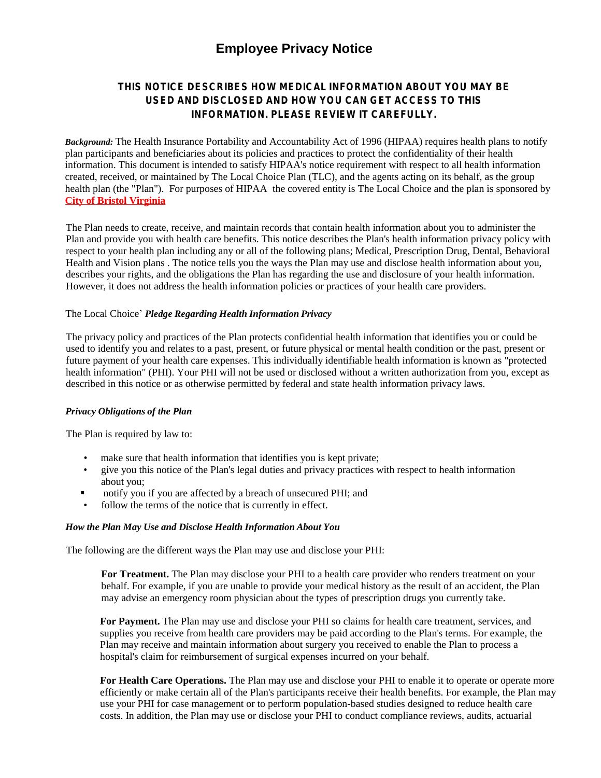# **Employee Privacy Notice**

# **THIS NOTICE DESCRIBES HOW MEDICAL INFORMATION ABOUT YOU MAY BE USED AND DISCLOSED AND HOW YOU CAN GET ACCESS TO THIS INFORMATION. PLEASE REVIEW IT CAREFULLY.**

*Background:* The Health Insurance Portability and Accountability Act of 1996 (HIPAA) requires health plans to notify plan participants and beneficiaries about its policies and practices to protect the confidentiality of their health information. This document is intended to satisfy HIPAA's notice requirement with respect to all health information created, received, or maintained by The Local Choice Plan (TLC), and the agents acting on its behalf, as the group health plan (the "Plan"). For purposes of HIPAA the covered entity is The Local Choice and the plan is sponsored by **City of Bristol Virginia**

The Plan needs to create, receive, and maintain records that contain health information about you to administer the Plan and provide you with health care benefits. This notice describes the Plan's health information privacy policy with respect to your health plan including any or all of the following plans; Medical, Prescription Drug, Dental, Behavioral Health and Vision plans . The notice tells you the ways the Plan may use and disclose health information about you, describes your rights, and the obligations the Plan has regarding the use and disclosure of your health information. However, it does not address the health information policies or practices of your health care providers.

# The Local Choice' *Pledge Regarding Health Information Privacy*

The privacy policy and practices of the Plan protects confidential health information that identifies you or could be used to identify you and relates to a past, present, or future physical or mental health condition or the past, present or future payment of your health care expenses. This individually identifiable health information is known as "protected health information" (PHI). Your PHI will not be used or disclosed without a written authorization from you, except as described in this notice or as otherwise permitted by federal and state health information privacy laws.

#### *Privacy Obligations of the Plan*

The Plan is required by law to:

- make sure that health information that identifies you is kept private;
- give you this notice of the Plan's legal duties and privacy practices with respect to health information about you;
- notify you if you are affected by a breach of unsecured PHI; and
- follow the terms of the notice that is currently in effect.

#### *How the Plan May Use and Disclose Health Information About You*

The following are the different ways the Plan may use and disclose your PHI:

**For Treatment.** The Plan may disclose your PHI to a health care provider who renders treatment on your behalf. For example, if you are unable to provide your medical history as the result of an accident, the Plan may advise an emergency room physician about the types of prescription drugs you currently take.

**For Payment.** The Plan may use and disclose your PHI so claims for health care treatment, services, and supplies you receive from health care providers may be paid according to the Plan's terms. For example, the Plan may receive and maintain information about surgery you received to enable the Plan to process a hospital's claim for reimbursement of surgical expenses incurred on your behalf.

**For Health Care Operations.** The Plan may use and disclose your PHI to enable it to operate or operate more efficiently or make certain all of the Plan's participants receive their health benefits. For example, the Plan may use your PHI for case management or to perform population-based studies designed to reduce health care costs. In addition, the Plan may use or disclose your PHI to conduct compliance reviews, audits, actuarial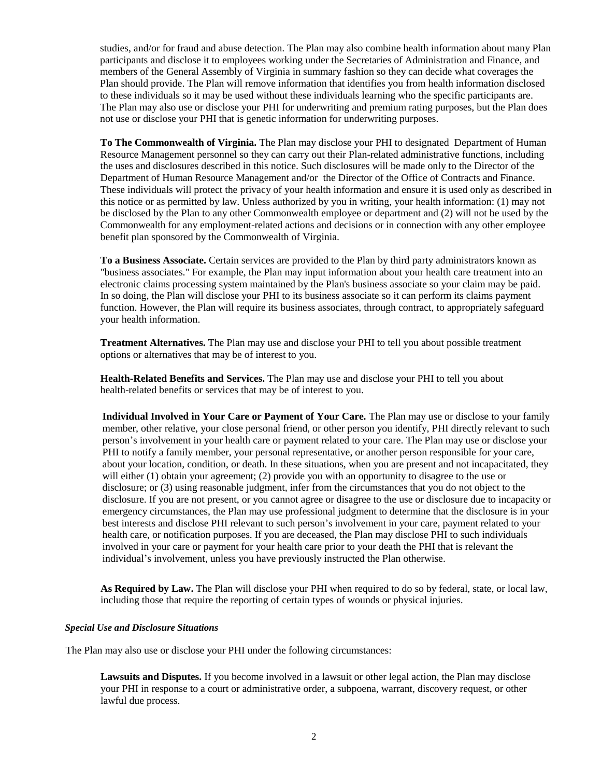studies, and/or for fraud and abuse detection. The Plan may also combine health information about many Plan participants and disclose it to employees working under the Secretaries of Administration and Finance, and members of the General Assembly of Virginia in summary fashion so they can decide what coverages the Plan should provide. The Plan will remove information that identifies you from health information disclosed to these individuals so it may be used without these individuals learning who the specific participants are. The Plan may also use or disclose your PHI for underwriting and premium rating purposes, but the Plan does not use or disclose your PHI that is genetic information for underwriting purposes.

**To The Commonwealth of Virginia.** The Plan may disclose your PHI to designated Department of Human Resource Management personnel so they can carry out their Plan-related administrative functions, including the uses and disclosures described in this notice. Such disclosures will be made only to the Director of the Department of Human Resource Management and/or the Director of the Office of Contracts and Finance. These individuals will protect the privacy of your health information and ensure it is used only as described in this notice or as permitted by law. Unless authorized by you in writing, your health information: (1) may not be disclosed by the Plan to any other Commonwealth employee or department and (2) will not be used by the Commonwealth for any employment-related actions and decisions or in connection with any other employee benefit plan sponsored by the Commonwealth of Virginia.

**To a Business Associate.** Certain services are provided to the Plan by third party administrators known as "business associates." For example, the Plan may input information about your health care treatment into an electronic claims processing system maintained by the Plan's business associate so your claim may be paid. In so doing, the Plan will disclose your PHI to its business associate so it can perform its claims payment function. However, the Plan will require its business associates, through contract, to appropriately safeguard your health information.

**Treatment Alternatives.** The Plan may use and disclose your PHI to tell you about possible treatment options or alternatives that may be of interest to you.

**Health-Related Benefits and Services.** The Plan may use and disclose your PHI to tell you about health-related benefits or services that may be of interest to you.

**Individual Involved in Your Care or Payment of Your Care.** The Plan may use or disclose to your family member, other relative, your close personal friend, or other person you identify, PHI directly relevant to such person's involvement in your health care or payment related to your care. The Plan may use or disclose your PHI to notify a family member, your personal representative, or another person responsible for your care, about your location, condition, or death. In these situations, when you are present and not incapacitated, they will either (1) obtain your agreement; (2) provide you with an opportunity to disagree to the use or disclosure; or (3) using reasonable judgment, infer from the circumstances that you do not object to the disclosure. If you are not present, or you cannot agree or disagree to the use or disclosure due to incapacity or emergency circumstances, the Plan may use professional judgment to determine that the disclosure is in your best interests and disclose PHI relevant to such person's involvement in your care, payment related to your health care, or notification purposes. If you are deceased, the Plan may disclose PHI to such individuals involved in your care or payment for your health care prior to your death the PHI that is relevant the individual's involvement, unless you have previously instructed the Plan otherwise.

**As Required by Law.** The Plan will disclose your PHI when required to do so by federal, state, or local law, including those that require the reporting of certain types of wounds or physical injuries.

### *Special Use and Disclosure Situations*

The Plan may also use or disclose your PHI under the following circumstances:

**Lawsuits and Disputes.** If you become involved in a lawsuit or other legal action, the Plan may disclose your PHI in response to a court or administrative order, a subpoena, warrant, discovery request, or other lawful due process.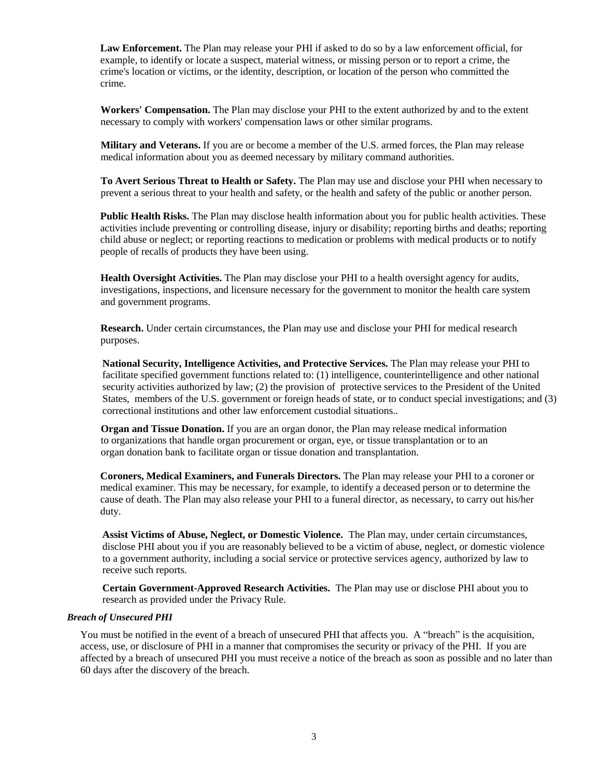**Law Enforcement.** The Plan may release your PHI if asked to do so by a law enforcement official, for example, to identify or locate a suspect, material witness, or missing person or to report a crime, the crime's location or victims, or the identity, description, or location of the person who committed the crime.

**Workers' Compensation.** The Plan may disclose your PHI to the extent authorized by and to the extent necessary to comply with workers' compensation laws or other similar programs.

**Military and Veterans.** If you are or become a member of the U.S. armed forces, the Plan may release medical information about you as deemed necessary by military command authorities.

**To Avert Serious Threat to Health or Safety.** The Plan may use and disclose your PHI when necessary to prevent a serious threat to your health and safety, or the health and safety of the public or another person.

**Public Health Risks.** The Plan may disclose health information about you for public health activities. These activities include preventing or controlling disease, injury or disability; reporting births and deaths; reporting child abuse or neglect; or reporting reactions to medication or problems with medical products or to notify people of recalls of products they have been using.

**Health Oversight Activities.** The Plan may disclose your PHI to a health oversight agency for audits, investigations, inspections, and licensure necessary for the government to monitor the health care system and government programs.

**Research.** Under certain circumstances, the Plan may use and disclose your PHI for medical research purposes.

**National Security, Intelligence Activities, and Protective Services.** The Plan may release your PHI to facilitate specified government functions related to: (1) intelligence, counterintelligence and other national security activities authorized by law; (2) the provision of protective services to the President of the United States, members of the U.S. government or foreign heads of state, or to conduct special investigations; and (3) correctional institutions and other law enforcement custodial situations..

**Organ and Tissue Donation.** If you are an organ donor, the Plan may release medical information to organizations that handle organ procurement or organ, eye, or tissue transplantation or to an organ donation bank to facilitate organ or tissue donation and transplantation.

**Coroners, Medical Examiners, and Funerals Directors.** The Plan may release your PHI to a coroner or medical examiner. This may be necessary, for example, to identify a deceased person or to determine the cause of death. The Plan may also release your PHI to a funeral director, as necessary, to carry out his/her duty.

**Assist Victims of Abuse, Neglect, or Domestic Violence.** The Plan may, under certain circumstances, disclose PHI about you if you are reasonably believed to be a victim of abuse, neglect, or domestic violence to a government authority, including a social service or protective services agency, authorized by law to receive such reports.

**Certain Government-Approved Research Activities.** The Plan may use or disclose PHI about you to research as provided under the Privacy Rule.

### *Breach of Unsecured PHI*

You must be notified in the event of a breach of unsecured PHI that affects you. A "breach" is the acquisition, access, use, or disclosure of PHI in a manner that compromises the security or privacy of the PHI. If you are affected by a breach of unsecured PHI you must receive a notice of the breach as soon as possible and no later than 60 days after the discovery of the breach.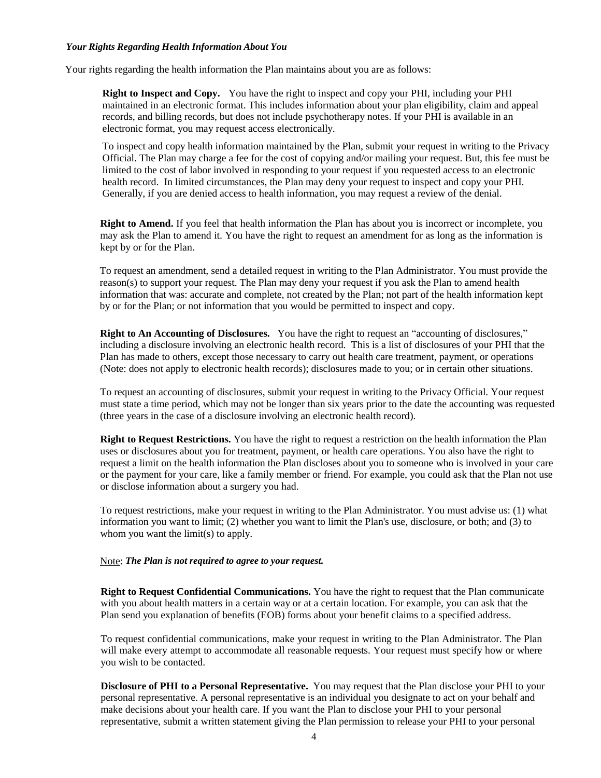#### *Your Rights Regarding Health Information About You*

Your rights regarding the health information the Plan maintains about you are as follows:

**Right to Inspect and Copy.** You have the right to inspect and copy your PHI, including your PHI maintained in an electronic format. This includes information about your plan eligibility, claim and appeal records, and billing records, but does not include psychotherapy notes. If your PHI is available in an electronic format, you may request access electronically.

To inspect and copy health information maintained by the Plan, submit your request in writing to the Privacy Official. The Plan may charge a fee for the cost of copying and/or mailing your request. But, this fee must be limited to the cost of labor involved in responding to your request if you requested access to an electronic health record. In limited circumstances, the Plan may deny your request to inspect and copy your PHI. Generally, if you are denied access to health information, you may request a review of the denial.

**Right to Amend.** If you feel that health information the Plan has about you is incorrect or incomplete, you may ask the Plan to amend it. You have the right to request an amendment for as long as the information is kept by or for the Plan.

To request an amendment, send a detailed request in writing to the Plan Administrator. You must provide the reason(s) to support your request. The Plan may deny your request if you ask the Plan to amend health information that was: accurate and complete, not created by the Plan; not part of the health information kept by or for the Plan; or not information that you would be permitted to inspect and copy.

**Right to An Accounting of Disclosures.** You have the right to request an "accounting of disclosures," including a disclosure involving an electronic health record. This is a list of disclosures of your PHI that the Plan has made to others, except those necessary to carry out health care treatment, payment, or operations (Note: does not apply to electronic health records); disclosures made to you; or in certain other situations.

To request an accounting of disclosures, submit your request in writing to the Privacy Official. Your request must state a time period, which may not be longer than six years prior to the date the accounting was requested (three years in the case of a disclosure involving an electronic health record).

**Right to Request Restrictions.** You have the right to request a restriction on the health information the Plan uses or disclosures about you for treatment, payment, or health care operations. You also have the right to request a limit on the health information the Plan discloses about you to someone who is involved in your care or the payment for your care, like a family member or friend. For example, you could ask that the Plan not use or disclose information about a surgery you had.

To request restrictions, make your request in writing to the Plan Administrator. You must advise us: (1) what information you want to limit; (2) whether you want to limit the Plan's use, disclosure, or both; and (3) to whom you want the limit(s) to apply.

#### Note: *The Plan is not required to agree to your request.*

**Right to Request Confidential Communications.** You have the right to request that the Plan communicate with you about health matters in a certain way or at a certain location. For example, you can ask that the Plan send you explanation of benefits (EOB) forms about your benefit claims to a specified address.

To request confidential communications, make your request in writing to the Plan Administrator. The Plan will make every attempt to accommodate all reasonable requests. Your request must specify how or where you wish to be contacted.

**Disclosure of PHI to a Personal Representative.** You may request that the Plan disclose your PHI to your personal representative. A personal representative is an individual you designate to act on your behalf and make decisions about your health care. If you want the Plan to disclose your PHI to your personal representative, submit a written statement giving the Plan permission to release your PHI to your personal